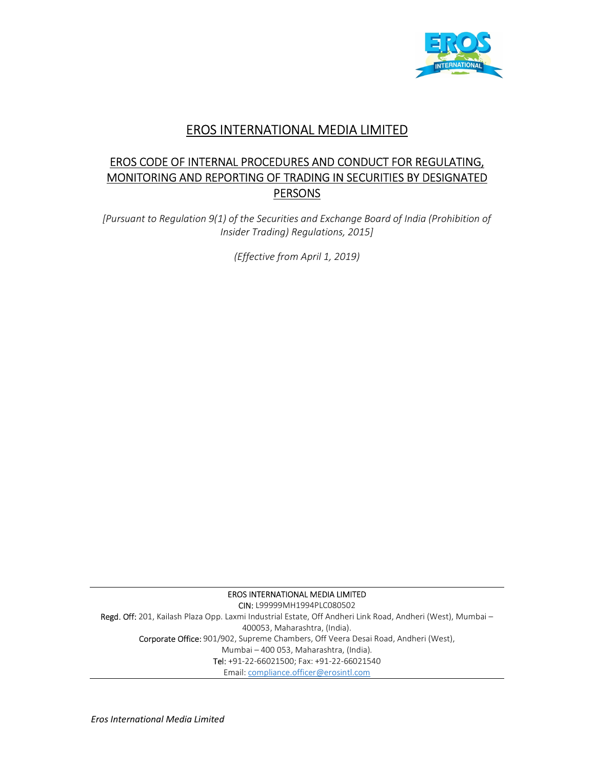

# EROS INTERNATIONAL MEDIA LIMITED

# EROS CODE OF INTERNAL PROCEDURES AND CONDUCT FOR REGULATING, MONITORING AND REPORTING OF TRADING IN SECURITIES BY DESIGNATED **PERSONS**

[Pursuant to Regulation 9(1) of the Securities and Exchange Board of India (Prohibition of Insider Trading) Regulations, 2015]

(Effective from April 1, 2019)

EROS INTERNATIONAL MEDIA LIMITED CIN: L99999MH1994PLC080502 Regd. Off: 201, Kailash Plaza Opp. Laxmi Industrial Estate, Off Andheri Link Road, Andheri (West), Mumbai – 400053, Maharashtra, (India). Corporate Office: 901/902, Supreme Chambers, Off Veera Desai Road, Andheri (West), Mumbai – 400 053, Maharashtra, (India). Tel: +91-22-66021500; Fax: +91-22-66021540 Email: compliance.officer@erosintl.com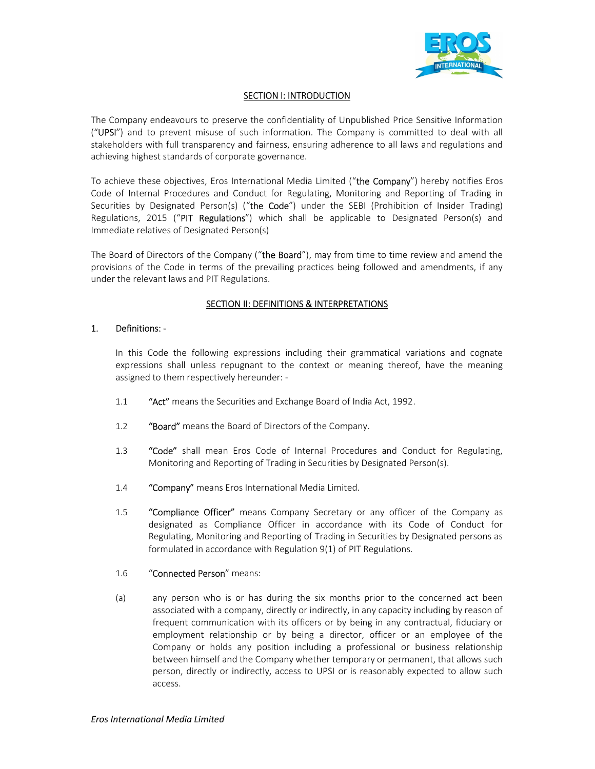

# **SECTION I: INTRODUCTION**

The Company endeavours to preserve the confidentiality of Unpublished Price Sensitive Information ("UPSI") and to prevent misuse of such information. The Company is committed to deal with all stakeholders with full transparency and fairness, ensuring adherence to all laws and regulations and achieving highest standards of corporate governance.

To achieve these objectives, Eros International Media Limited ("the Company") hereby notifies Eros Code of Internal Procedures and Conduct for Regulating, Monitoring and Reporting of Trading in Securities by Designated Person(s) ("the Code") under the SEBI (Prohibition of Insider Trading) Regulations, 2015 ("PIT Regulations") which shall be applicable to Designated Person(s) and Immediate relatives of Designated Person(s)

The Board of Directors of the Company ("the Board"), may from time to time review and amend the provisions of the Code in terms of the prevailing practices being followed and amendments, if any under the relevant laws and PIT Regulations.

### **SECTION II: DEFINITIONS & INTERPRETATIONS**

### 1. Definitions: -

In this Code the following expressions including their grammatical variations and cognate expressions shall unless repugnant to the context or meaning thereof, have the meaning assigned to them respectively hereunder: -

- 1.1 "Act" means the Securities and Exchange Board of India Act, 1992.
- 1.2 "Board" means the Board of Directors of the Company.
- 1.3 "Code" shall mean Eros Code of Internal Procedures and Conduct for Regulating, Monitoring and Reporting of Trading in Securities by Designated Person(s).
- 1.4 "Company" means Eros International Media Limited.
- 1.5 "Compliance Officer" means Company Secretary or any officer of the Company as designated as Compliance Officer in accordance with its Code of Conduct for Regulating, Monitoring and Reporting of Trading in Securities by Designated persons as formulated in accordance with Regulation 9(1) of PIT Regulations.

#### 1.6 "Connected Person" means:

(a) any person who is or has during the six months prior to the concerned act been associated with a company, directly or indirectly, in any capacity including by reason of frequent communication with its officers or by being in any contractual, fiduciary or employment relationship or by being a director, officer or an employee of the Company or holds any position including a professional or business relationship between himself and the Company whether temporary or permanent, that allows such person, directly or indirectly, access to UPSI or is reasonably expected to allow such access.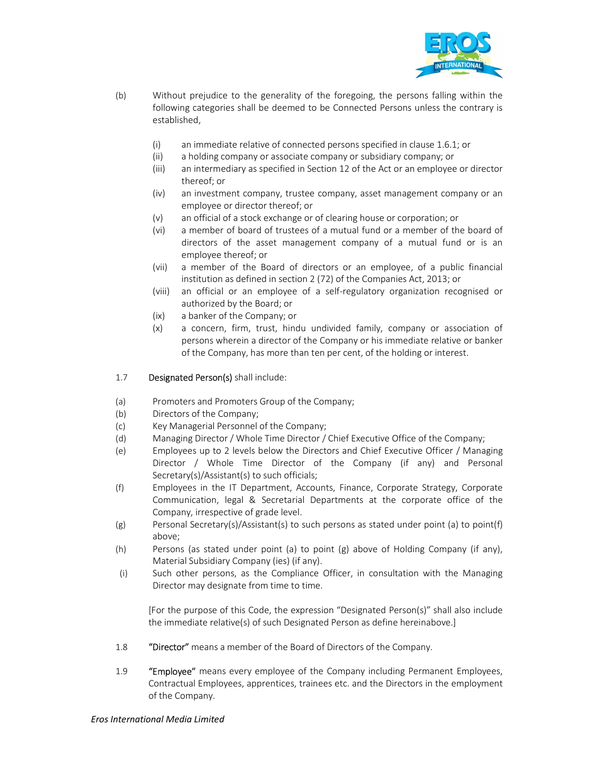

- (b) Without prejudice to the generality of the foregoing, the persons falling within the following categories shall be deemed to be Connected Persons unless the contrary is established,
	- (i) an immediate relative of connected persons specified in clause 1.6.1; or
	- (ii) a holding company or associate company or subsidiary company; or
	- (iii) an intermediary as specified in Section 12 of the Act or an employee or director thereof; or
	- (iv) an investment company, trustee company, asset management company or an employee or director thereof; or
	- (v) an official of a stock exchange or of clearing house or corporation; or
	- (vi) a member of board of trustees of a mutual fund or a member of the board of directors of the asset management company of a mutual fund or is an employee thereof; or
	- (vii) a member of the Board of directors or an employee, of a public financial institution as defined in section 2 (72) of the Companies Act, 2013; or
	- (viii) an official or an employee of a self-regulatory organization recognised or authorized by the Board; or
	- (ix) a banker of the Company; or
	- (x) a concern, firm, trust, hindu undivided family, company or association of persons wherein a director of the Company or his immediate relative or banker of the Company, has more than ten per cent, of the holding or interest.
- 1.7 Designated Person(s) shall include:
- (a) Promoters and Promoters Group of the Company;
- (b) Directors of the Company;
- (c) Key Managerial Personnel of the Company;
- (d) Managing Director / Whole Time Director / Chief Executive Office of the Company;
- (e) Employees up to 2 levels below the Directors and Chief Executive Officer / Managing Director / Whole Time Director of the Company (if any) and Personal Secretary(s)/Assistant(s) to such officials;
- (f) Employees in the IT Department, Accounts, Finance, Corporate Strategy, Corporate Communication, legal & Secretarial Departments at the corporate office of the Company, irrespective of grade level.
- (g) Personal Secretary(s)/Assistant(s) to such persons as stated under point (a) to point(f) above;
- (h) Persons (as stated under point (a) to point (g) above of Holding Company (if any), Material Subsidiary Company (ies) (if any).
- (i) Such other persons, as the Compliance Officer, in consultation with the Managing Director may designate from time to time.

[For the purpose of this Code, the expression "Designated Person(s)" shall also include the immediate relative(s) of such Designated Person as define hereinabove.]

- 1.8 "Director" means a member of the Board of Directors of the Company.
- 1.9 **"Employee"** means every employee of the Company including Permanent Employees, Contractual Employees, apprentices, trainees etc. and the Directors in the employment of the Company.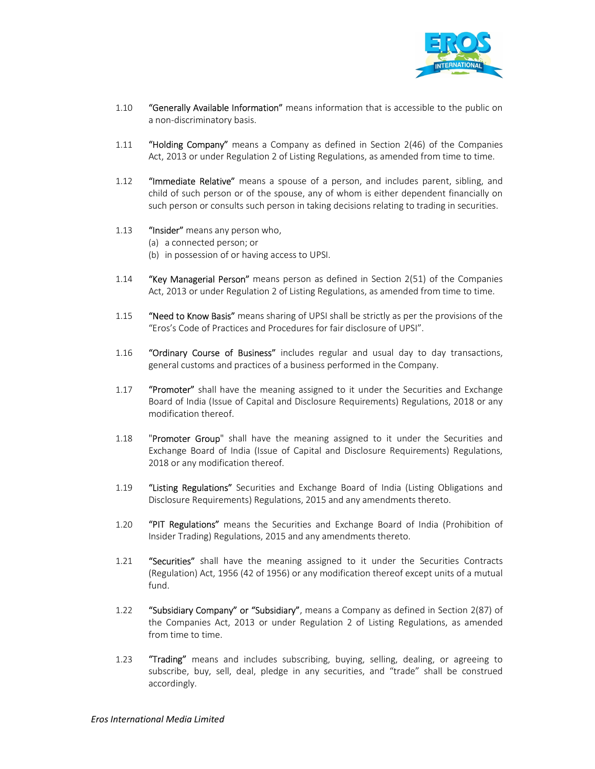

- 1.10 "Generally Available Information" means information that is accessible to the public on a non-discriminatory basis.
- 1.11 "Holding Company" means a Company as defined in Section 2(46) of the Companies Act, 2013 or under Regulation 2 of Listing Regulations, as amended from time to time.
- 1.12 "Immediate Relative" means a spouse of a person, and includes parent, sibling, and child of such person or of the spouse, any of whom is either dependent financially on such person or consults such person in taking decisions relating to trading in securities.
- 1.13 "Insider" means any person who,
	- (a) a connected person; or
	- (b) in possession of or having access to UPSI.
- 1.14 **"Key Managerial Person"** means person as defined in Section 2(51) of the Companies Act, 2013 or under Regulation 2 of Listing Regulations, as amended from time to time.
- 1.15 "Need to Know Basis" means sharing of UPSI shall be strictly as per the provisions of the "Eros's Code of Practices and Procedures for fair disclosure of UPSI".
- 1.16 "Ordinary Course of Business" includes regular and usual day to day transactions, general customs and practices of a business performed in the Company.
- 1.17 **"Promoter"** shall have the meaning assigned to it under the Securities and Exchange Board of India (Issue of Capital and Disclosure Requirements) Regulations, 2018 or any modification thereof.
- 1.18 **"Promoter Group"** shall have the meaning assigned to it under the Securities and Exchange Board of India (Issue of Capital and Disclosure Requirements) Regulations, 2018 or any modification thereof.
- 1.19 "Listing Regulations" Securities and Exchange Board of India (Listing Obligations and Disclosure Requirements) Regulations, 2015 and any amendments thereto.
- 1.20 "PIT Regulations" means the Securities and Exchange Board of India (Prohibition of Insider Trading) Regulations, 2015 and any amendments thereto.
- 1.21 **"Securities"** shall have the meaning assigned to it under the Securities Contracts (Regulation) Act, 1956 (42 of 1956) or any modification thereof except units of a mutual fund.
- 1.22 "Subsidiary Company" or "Subsidiary", means a Company as defined in Section 2(87) of the Companies Act, 2013 or under Regulation 2 of Listing Regulations, as amended from time to time.
- 1.23 **"Trading"** means and includes subscribing, buying, selling, dealing, or agreeing to subscribe, buy, sell, deal, pledge in any securities, and "trade" shall be construed accordingly.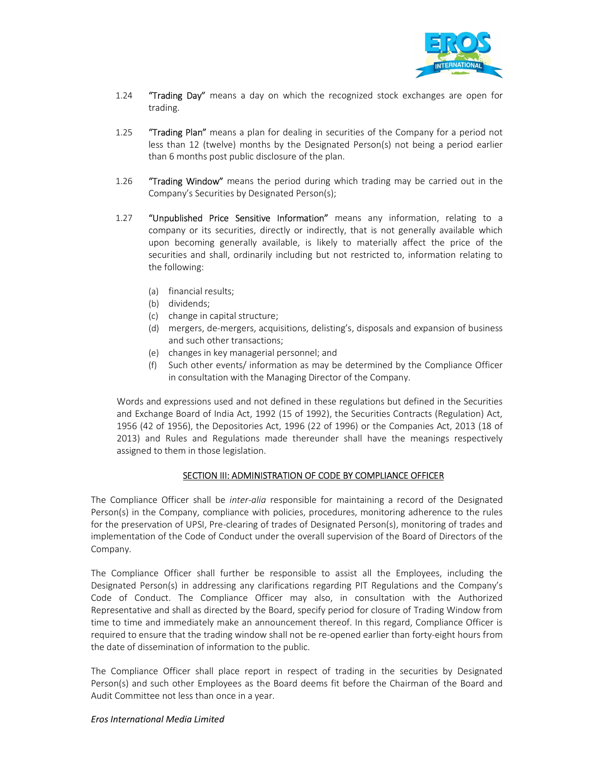

- 1.24 **"Trading Day"** means a day on which the recognized stock exchanges are open for trading.
- 1.25 **"Trading Plan"** means a plan for dealing in securities of the Company for a period not less than 12 (twelve) months by the Designated Person(s) not being a period earlier than 6 months post public disclosure of the plan.
- 1.26 **"Trading Window"** means the period during which trading may be carried out in the Company's Securities by Designated Person(s);
- 1.27 "Unpublished Price Sensitive Information" means any information, relating to a company or its securities, directly or indirectly, that is not generally available which upon becoming generally available, is likely to materially affect the price of the securities and shall, ordinarily including but not restricted to, information relating to the following:
	- (a) financial results;
	- (b) dividends;
	- (c) change in capital structure;
	- (d) mergers, de-mergers, acquisitions, delisting's, disposals and expansion of business and such other transactions;
	- (e) changes in key managerial personnel; and
	- (f) Such other events/ information as may be determined by the Compliance Officer in consultation with the Managing Director of the Company.

Words and expressions used and not defined in these regulations but defined in the Securities and Exchange Board of India Act, 1992 (15 of 1992), the Securities Contracts (Regulation) Act, 1956 (42 of 1956), the Depositories Act, 1996 (22 of 1996) or the Companies Act, 2013 (18 of 2013) and Rules and Regulations made thereunder shall have the meanings respectively assigned to them in those legislation.

# SECTION III: ADMINISTRATION OF CODE BY COMPLIANCE OFFICER

The Compliance Officer shall be *inter-alia* responsible for maintaining a record of the Designated Person(s) in the Company, compliance with policies, procedures, monitoring adherence to the rules for the preservation of UPSI, Pre-clearing of trades of Designated Person(s), monitoring of trades and implementation of the Code of Conduct under the overall supervision of the Board of Directors of the Company.

The Compliance Officer shall further be responsible to assist all the Employees, including the Designated Person(s) in addressing any clarifications regarding PIT Regulations and the Company's Code of Conduct. The Compliance Officer may also, in consultation with the Authorized Representative and shall as directed by the Board, specify period for closure of Trading Window from time to time and immediately make an announcement thereof. In this regard, Compliance Officer is required to ensure that the trading window shall not be re-opened earlier than forty-eight hours from the date of dissemination of information to the public.

The Compliance Officer shall place report in respect of trading in the securities by Designated Person(s) and such other Employees as the Board deems fit before the Chairman of the Board and Audit Committee not less than once in a year.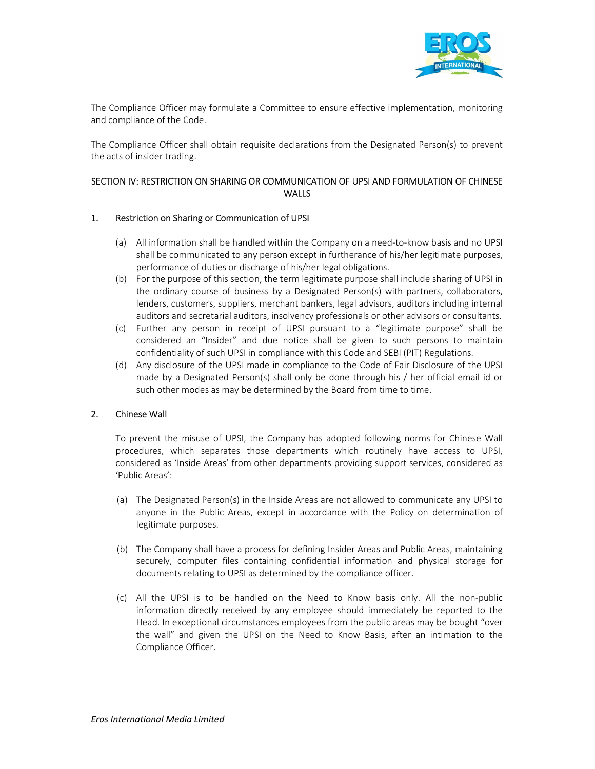

The Compliance Officer may formulate a Committee to ensure effective implementation, monitoring and compliance of the Code.

The Compliance Officer shall obtain requisite declarations from the Designated Person(s) to prevent the acts of insider trading.

# SECTION IV: RESTRICTION ON SHARING OR COMMUNICATION OF UPSI AND FORMULATION OF CHINESE **WALLS**

### 1. Restriction on Sharing or Communication of UPSI

- (a) All information shall be handled within the Company on a need-to-know basis and no UPSI shall be communicated to any person except in furtherance of his/her legitimate purposes, performance of duties or discharge of his/her legal obligations.
- (b) For the purpose of this section, the term legitimate purpose shall include sharing of UPSI in the ordinary course of business by a Designated Person(s) with partners, collaborators, lenders, customers, suppliers, merchant bankers, legal advisors, auditors including internal auditors and secretarial auditors, insolvency professionals or other advisors or consultants.
- (c) Further any person in receipt of UPSI pursuant to a "legitimate purpose" shall be considered an "Insider" and due notice shall be given to such persons to maintain confidentiality of such UPSI in compliance with this Code and SEBI (PIT) Regulations.
- (d) Any disclosure of the UPSI made in compliance to the Code of Fair Disclosure of the UPSI made by a Designated Person(s) shall only be done through his / her official email id or such other modes as may be determined by the Board from time to time.

# 2. Chinese Wall

To prevent the misuse of UPSI, the Company has adopted following norms for Chinese Wall procedures, which separates those departments which routinely have access to UPSI, considered as 'Inside Areas' from other departments providing support services, considered as 'Public Areas':

- (a) The Designated Person(s) in the Inside Areas are not allowed to communicate any UPSI to anyone in the Public Areas, except in accordance with the Policy on determination of legitimate purposes.
- (b) The Company shall have a process for defining Insider Areas and Public Areas, maintaining securely, computer files containing confidential information and physical storage for documents relating to UPSI as determined by the compliance officer.
- (c) All the UPSI is to be handled on the Need to Know basis only. All the non-public information directly received by any employee should immediately be reported to the Head. In exceptional circumstances employees from the public areas may be bought "over the wall" and given the UPSI on the Need to Know Basis, after an intimation to the Compliance Officer.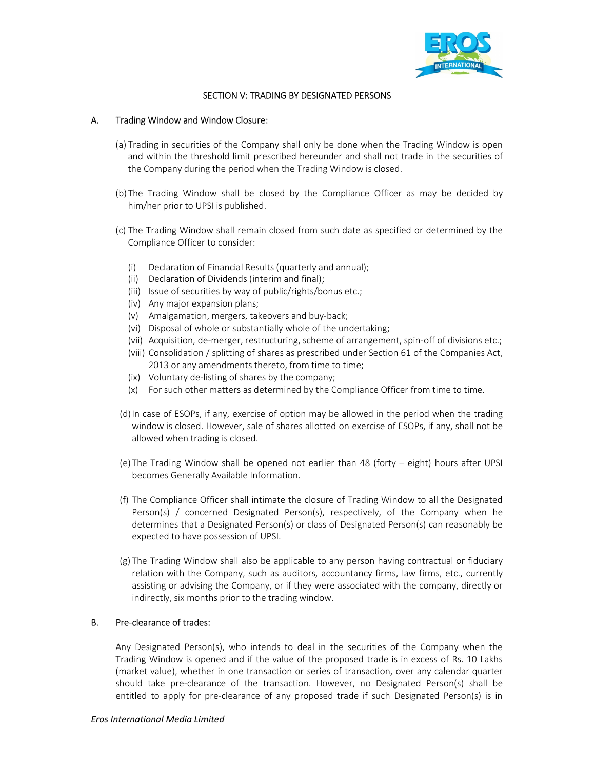

### SECTION V: TRADING BY DESIGNATED PERSONS

#### A. Trading Window and Window Closure:

- (a) Trading in securities of the Company shall only be done when the Trading Window is open and within the threshold limit prescribed hereunder and shall not trade in the securities of the Company during the period when the Trading Window is closed.
- (b) The Trading Window shall be closed by the Compliance Officer as may be decided by him/her prior to UPSI is published.
- (c) The Trading Window shall remain closed from such date as specified or determined by the Compliance Officer to consider:
	- (i) Declaration of Financial Results (quarterly and annual);
	- (ii) Declaration of Dividends (interim and final);
	- (iii) Issue of securities by way of public/rights/bonus etc.;
	- (iv) Any major expansion plans;
	- (v) Amalgamation, mergers, takeovers and buy-back;
	- (vi) Disposal of whole or substantially whole of the undertaking;
	- (vii) Acquisition, de-merger, restructuring, scheme of arrangement, spin-off of divisions etc.;
	- (viii) Consolidation / splitting of shares as prescribed under Section 61 of the Companies Act, 2013 or any amendments thereto, from time to time;
	- (ix) Voluntary de-listing of shares by the company;
	- (x) For such other matters as determined by the Compliance Officer from time to time.
- (d)In case of ESOPs, if any, exercise of option may be allowed in the period when the trading window is closed. However, sale of shares allotted on exercise of ESOPs, if any, shall not be allowed when trading is closed.
- (e) The Trading Window shall be opened not earlier than 48 (forty eight) hours after UPSI becomes Generally Available Information.
- (f) The Compliance Officer shall intimate the closure of Trading Window to all the Designated Person(s) / concerned Designated Person(s), respectively, of the Company when he determines that a Designated Person(s) or class of Designated Person(s) can reasonably be expected to have possession of UPSI.
- (g) The Trading Window shall also be applicable to any person having contractual or fiduciary relation with the Company, such as auditors, accountancy firms, law firms, etc., currently assisting or advising the Company, or if they were associated with the company, directly or indirectly, six months prior to the trading window.

#### B. Pre-clearance of trades:

Any Designated Person(s), who intends to deal in the securities of the Company when the Trading Window is opened and if the value of the proposed trade is in excess of Rs. 10 Lakhs (market value), whether in one transaction or series of transaction, over any calendar quarter should take pre-clearance of the transaction. However, no Designated Person(s) shall be entitled to apply for pre-clearance of any proposed trade if such Designated Person(s) is in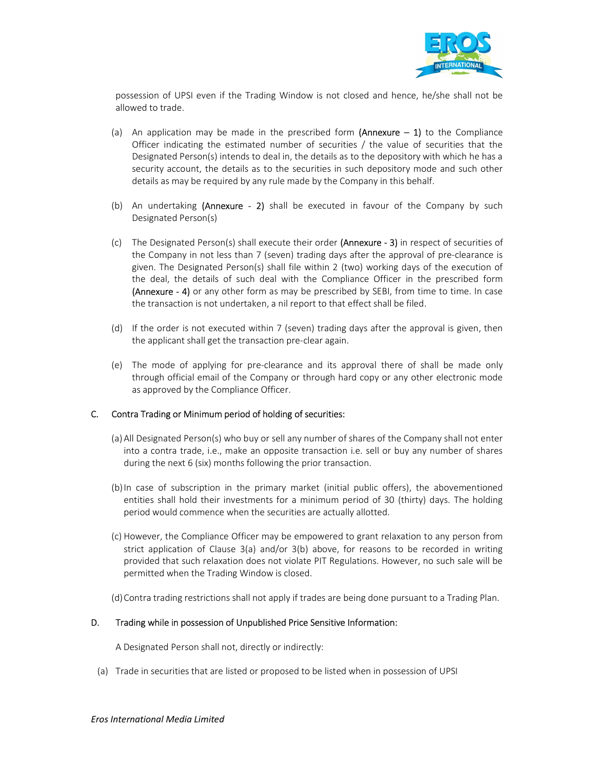

possession of UPSI even if the Trading Window is not closed and hence, he/she shall not be allowed to trade.

- (a) An application may be made in the prescribed form (Annexure  $-1$ ) to the Compliance Officer indicating the estimated number of securities / the value of securities that the Designated Person(s) intends to deal in, the details as to the depository with which he has a security account, the details as to the securities in such depository mode and such other details as may be required by any rule made by the Company in this behalf.
- (b) An undertaking (Annexure 2) shall be executed in favour of the Company by such Designated Person(s)
- (c) The Designated Person(s) shall execute their order (Annexure 3) in respect of securities of the Company in not less than 7 (seven) trading days after the approval of pre-clearance is given. The Designated Person(s) shall file within 2 (two) working days of the execution of the deal, the details of such deal with the Compliance Officer in the prescribed form **(Annexure - 4)** or any other form as may be prescribed by SEBI, from time to time. In case the transaction is not undertaken, a nil report to that effect shall be filed.
- (d) If the order is not executed within 7 (seven) trading days after the approval is given, then the applicant shall get the transaction pre-clear again.
- (e) The mode of applying for pre-clearance and its approval there of shall be made only through official email of the Company or through hard copy or any other electronic mode as approved by the Compliance Officer.

# C. Contra Trading or Minimum period of holding of securities:

- (a)All Designated Person(s) who buy or sell any number of shares of the Company shall not enter into a contra trade, i.e., make an opposite transaction i.e. sell or buy any number of shares during the next 6 (six) months following the prior transaction.
- (b)In case of subscription in the primary market (initial public offers), the abovementioned entities shall hold their investments for a minimum period of 30 (thirty) days. The holding period would commence when the securities are actually allotted.
- (c) However, the Compliance Officer may be empowered to grant relaxation to any person from strict application of Clause 3(a) and/or 3(b) above, for reasons to be recorded in writing provided that such relaxation does not violate PIT Regulations. However, no such sale will be permitted when the Trading Window is closed.
- (d)Contra trading restrictions shall not apply if trades are being done pursuant to a Trading Plan.

#### D. Trading while in possession of Unpublished Price Sensitive Information:

A Designated Person shall not, directly or indirectly:

(a) Trade in securities that are listed or proposed to be listed when in possession of UPSI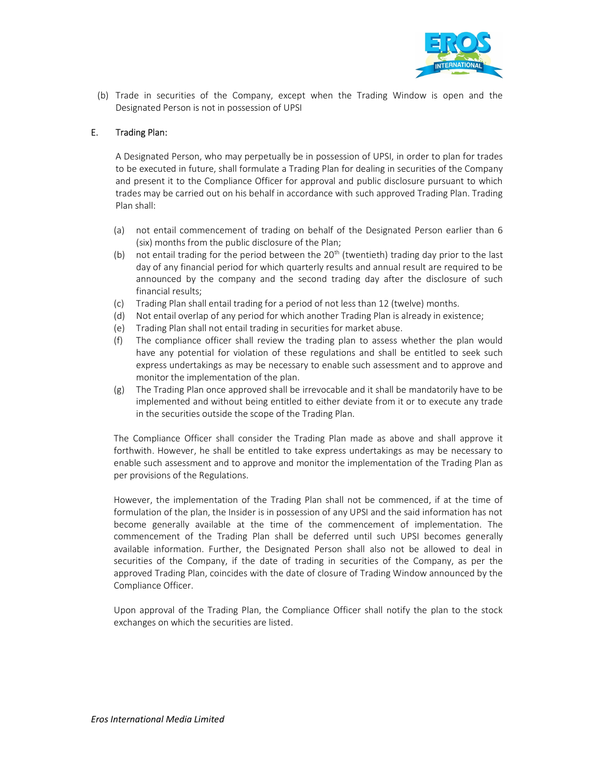

(b) Trade in securities of the Company, except when the Trading Window is open and the Designated Person is not in possession of UPSI

### E. Trading Plan:

A Designated Person, who may perpetually be in possession of UPSI, in order to plan for trades to be executed in future, shall formulate a Trading Plan for dealing in securities of the Company and present it to the Compliance Officer for approval and public disclosure pursuant to which trades may be carried out on his behalf in accordance with such approved Trading Plan. Trading Plan shall:

- (a) not entail commencement of trading on behalf of the Designated Person earlier than 6 (six) months from the public disclosure of the Plan;
- (b) not entail trading for the period between the  $20<sup>th</sup>$  (twentieth) trading day prior to the last day of any financial period for which quarterly results and annual result are required to be announced by the company and the second trading day after the disclosure of such financial results;
- (c) Trading Plan shall entail trading for a period of not less than 12 (twelve) months.
- (d) Not entail overlap of any period for which another Trading Plan is already in existence;
- (e) Trading Plan shall not entail trading in securities for market abuse.
- (f) The compliance officer shall review the trading plan to assess whether the plan would have any potential for violation of these regulations and shall be entitled to seek such express undertakings as may be necessary to enable such assessment and to approve and monitor the implementation of the plan.
- (g) The Trading Plan once approved shall be irrevocable and it shall be mandatorily have to be implemented and without being entitled to either deviate from it or to execute any trade in the securities outside the scope of the Trading Plan.

The Compliance Officer shall consider the Trading Plan made as above and shall approve it forthwith. However, he shall be entitled to take express undertakings as may be necessary to enable such assessment and to approve and monitor the implementation of the Trading Plan as per provisions of the Regulations.

However, the implementation of the Trading Plan shall not be commenced, if at the time of formulation of the plan, the Insider is in possession of any UPSI and the said information has not become generally available at the time of the commencement of implementation. The commencement of the Trading Plan shall be deferred until such UPSI becomes generally available information. Further, the Designated Person shall also not be allowed to deal in securities of the Company, if the date of trading in securities of the Company, as per the approved Trading Plan, coincides with the date of closure of Trading Window announced by the Compliance Officer.

Upon approval of the Trading Plan, the Compliance Officer shall notify the plan to the stock exchanges on which the securities are listed.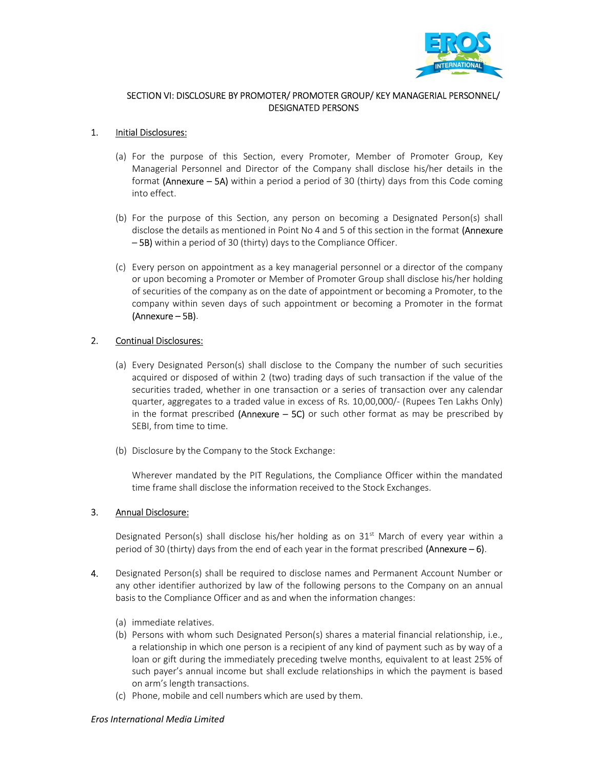

## SECTION VI: DISCLOSURE BY PROMOTER/ PROMOTER GROUP/ KEY MANAGERIAL PERSONNEL/ DESIGNATED PERSONS

## 1. Initial Disclosures:

- (a) For the purpose of this Section, every Promoter, Member of Promoter Group, Key Managerial Personnel and Director of the Company shall disclose his/her details in the format (Annexure  $-$  5A) within a period a period of 30 (thirty) days from this Code coming into effect.
- (b) For the purpose of this Section, any person on becoming a Designated Person(s) shall disclose the details as mentioned in Point No 4 and 5 of this section in the format (Annexure – 5B) within a period of 30 (thirty) days to the Compliance Officer.
- (c) Every person on appointment as a key managerial personnel or a director of the company or upon becoming a Promoter or Member of Promoter Group shall disclose his/her holding of securities of the company as on the date of appointment or becoming a Promoter, to the company within seven days of such appointment or becoming a Promoter in the format (Annexure – 5B).

### 2. Continual Disclosures:

- (a) Every Designated Person(s) shall disclose to the Company the number of such securities acquired or disposed of within 2 (two) trading days of such transaction if the value of the securities traded, whether in one transaction or a series of transaction over any calendar quarter, aggregates to a traded value in excess of Rs. 10,00,000/- (Rupees Ten Lakhs Only) in the format prescribed (Annexure  $-$  5C) or such other format as may be prescribed by SEBI, from time to time.
- (b) Disclosure by the Company to the Stock Exchange:

Wherever mandated by the PIT Regulations, the Compliance Officer within the mandated time frame shall disclose the information received to the Stock Exchanges.

# 3. Annual Disclosure:

Designated Person(s) shall disclose his/her holding as on  $31<sup>st</sup>$  March of every year within a period of 30 (thirty) days from the end of each year in the format prescribed (Annexure  $-6$ ).

- 4. Designated Person(s) shall be required to disclose names and Permanent Account Number or any other identifier authorized by law of the following persons to the Company on an annual basis to the Compliance Officer and as and when the information changes:
	- (a) immediate relatives.
	- (b) Persons with whom such Designated Person(s) shares a material financial relationship, i.e., a relationship in which one person is a recipient of any kind of payment such as by way of a loan or gift during the immediately preceding twelve months, equivalent to at least 25% of such payer's annual income but shall exclude relationships in which the payment is based on arm's length transactions.
	- (c) Phone, mobile and cell numbers which are used by them.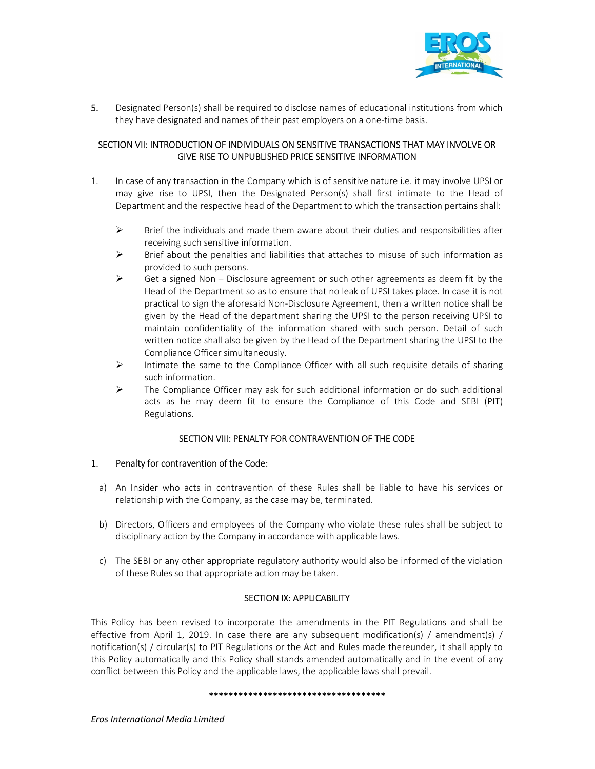

5. Designated Person(s) shall be required to disclose names of educational institutions from which they have designated and names of their past employers on a one-time basis.

# SECTION VII: INTRODUCTION OF INDIVIDUALS ON SENSITIVE TRANSACTIONS THAT MAY INVOLVE OR GIVE RISE TO UNPUBLISHED PRICE SENSITIVE INFORMATION

- 1. In case of any transaction in the Company which is of sensitive nature i.e. it may involve UPSI or may give rise to UPSI, then the Designated Person(s) shall first intimate to the Head of Department and the respective head of the Department to which the transaction pertains shall:
	- $\triangleright$  Brief the individuals and made them aware about their duties and responsibilities after receiving such sensitive information.
	- $\triangleright$  Brief about the penalties and liabilities that attaches to misuse of such information as provided to such persons.
	- $\triangleright$  Get a signed Non Disclosure agreement or such other agreements as deem fit by the Head of the Department so as to ensure that no leak of UPSI takes place. In case it is not practical to sign the aforesaid Non-Disclosure Agreement, then a written notice shall be given by the Head of the department sharing the UPSI to the person receiving UPSI to maintain confidentiality of the information shared with such person. Detail of such written notice shall also be given by the Head of the Department sharing the UPSI to the Compliance Officer simultaneously.
	- $\triangleright$  Intimate the same to the Compliance Officer with all such requisite details of sharing such information.
	- $\triangleright$  The Compliance Officer may ask for such additional information or do such additional acts as he may deem fit to ensure the Compliance of this Code and SEBI (PIT) Regulations.

# SECTION VIII: PENALTY FOR CONTRAVENTION OF THE CODE

#### 1. Penalty for contravention of the Code:

- a) An Insider who acts in contravention of these Rules shall be liable to have his services or relationship with the Company, as the case may be, terminated.
- b) Directors, Officers and employees of the Company who violate these rules shall be subject to disciplinary action by the Company in accordance with applicable laws.
- c) The SEBI or any other appropriate regulatory authority would also be informed of the violation of these Rules so that appropriate action may be taken.

# SECTION IX: APPLICABILITY

This Policy has been revised to incorporate the amendments in the PIT Regulations and shall be effective from April 1, 2019. In case there are any subsequent modification(s) / amendment(s) / notification(s) / circular(s) to PIT Regulations or the Act and Rules made thereunder, it shall apply to this Policy automatically and this Policy shall stands amended automatically and in the event of any conflict between this Policy and the applicable laws, the applicable laws shall prevail.

#### \*\*\*\*\*\*\*\*\*\*\*\*\*\*\*\*\*\*\*\*\*\*\*\*\*\*\*\*\*\*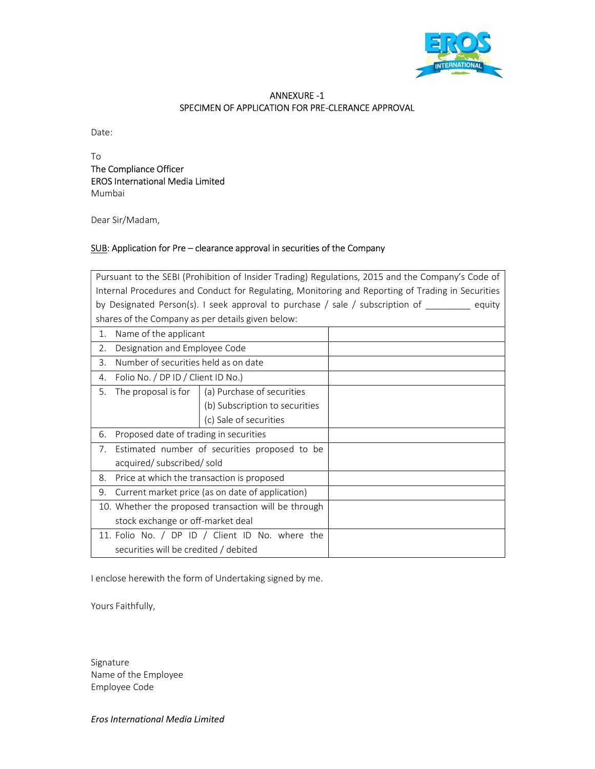

# ANNEXURE -1 SPECIMEN OF APPLICATION FOR PRE-CLERANCE APPROVAL

Date:

To The Compliance Officer EROS International Media Limited Mumbai

Dear Sir/Madam,

# SUB: Application for Pre – clearance approval in securities of the Company

| Pursuant to the SEBI (Prohibition of Insider Trading) Regulations, 2015 and the Company's Code of |                                    |                                                        |                                                                                                      |  |  |  |
|---------------------------------------------------------------------------------------------------|------------------------------------|--------------------------------------------------------|------------------------------------------------------------------------------------------------------|--|--|--|
| Internal Procedures and Conduct for Regulating, Monitoring and Reporting of Trading in Securities |                                    |                                                        |                                                                                                      |  |  |  |
|                                                                                                   |                                    |                                                        | by Designated Person(s). I seek approval to purchase / sale / subscription of $\qquad \qquad$ equity |  |  |  |
|                                                                                                   |                                    | shares of the Company as per details given below:      |                                                                                                      |  |  |  |
| 1.                                                                                                | Name of the applicant              |                                                        |                                                                                                      |  |  |  |
| 2.                                                                                                | Designation and Employee Code      |                                                        |                                                                                                      |  |  |  |
| 3.                                                                                                |                                    | Number of securities held as on date                   |                                                                                                      |  |  |  |
| 4.                                                                                                | Folio No. / DP ID / Client ID No.) |                                                        |                                                                                                      |  |  |  |
| 5.                                                                                                |                                    | The proposal is for $\vert$ (a) Purchase of securities |                                                                                                      |  |  |  |
|                                                                                                   |                                    | (b) Subscription to securities                         |                                                                                                      |  |  |  |
|                                                                                                   |                                    | (c) Sale of securities                                 |                                                                                                      |  |  |  |
| 6.                                                                                                |                                    | Proposed date of trading in securities                 |                                                                                                      |  |  |  |
| 7 <sub>1</sub>                                                                                    |                                    | Estimated number of securities proposed to be          |                                                                                                      |  |  |  |
|                                                                                                   | acquired/ subscribed/ sold         |                                                        |                                                                                                      |  |  |  |
| 8.                                                                                                |                                    | Price at which the transaction is proposed             |                                                                                                      |  |  |  |
| 9.                                                                                                |                                    | Current market price (as on date of application)       |                                                                                                      |  |  |  |
| 10. Whether the proposed transaction will be through                                              |                                    |                                                        |                                                                                                      |  |  |  |
|                                                                                                   |                                    | stock exchange or off-market deal                      |                                                                                                      |  |  |  |
|                                                                                                   |                                    | 11. Folio No. / DP ID / Client ID No. where the        |                                                                                                      |  |  |  |
|                                                                                                   |                                    | securities will be credited / debited                  |                                                                                                      |  |  |  |

I enclose herewith the form of Undertaking signed by me.

Yours Faithfully,

Signature Name of the Employee Employee Code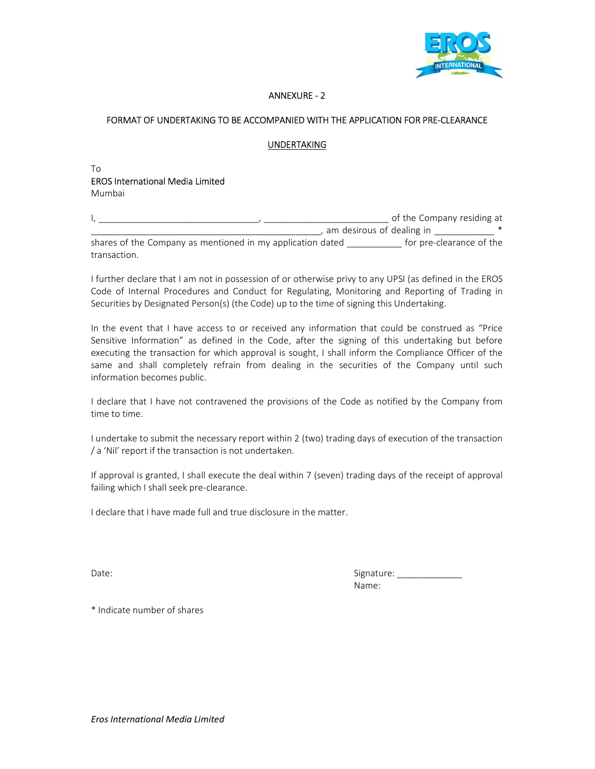

# ANNEXURE - 2

# FORMAT OF UNDERTAKING TO BE ACCOMPANIED WITH THE APPLICATION FOR PRE-CLEARANCE

### UNDERTAKING

#### To EROS International Media Limited Mumbai

|                                                            | of the Company residing at |
|------------------------------------------------------------|----------------------------|
| am desirous of dealing in                                  |                            |
| shares of the Company as mentioned in my application dated | for pre-clearance of the   |
| transaction.                                               |                            |

I further declare that I am not in possession of or otherwise privy to any UPSI (as defined in the EROS Code of Internal Procedures and Conduct for Regulating, Monitoring and Reporting of Trading in Securities by Designated Person(s) (the Code) up to the time of signing this Undertaking.

In the event that I have access to or received any information that could be construed as "Price Sensitive Information" as defined in the Code, after the signing of this undertaking but before executing the transaction for which approval is sought, I shall inform the Compliance Officer of the same and shall completely refrain from dealing in the securities of the Company until such information becomes public.

I declare that I have not contravened the provisions of the Code as notified by the Company from time to time.

I undertake to submit the necessary report within 2 (two) trading days of execution of the transaction / a 'Nil' report if the transaction is not undertaken.

If approval is granted, I shall execute the deal within 7 (seven) trading days of the receipt of approval failing which I shall seek pre-clearance.

I declare that I have made full and true disclosure in the matter.

Date: Signature: \_\_\_\_\_\_\_\_\_\_\_\_\_ Name:

\* Indicate number of shares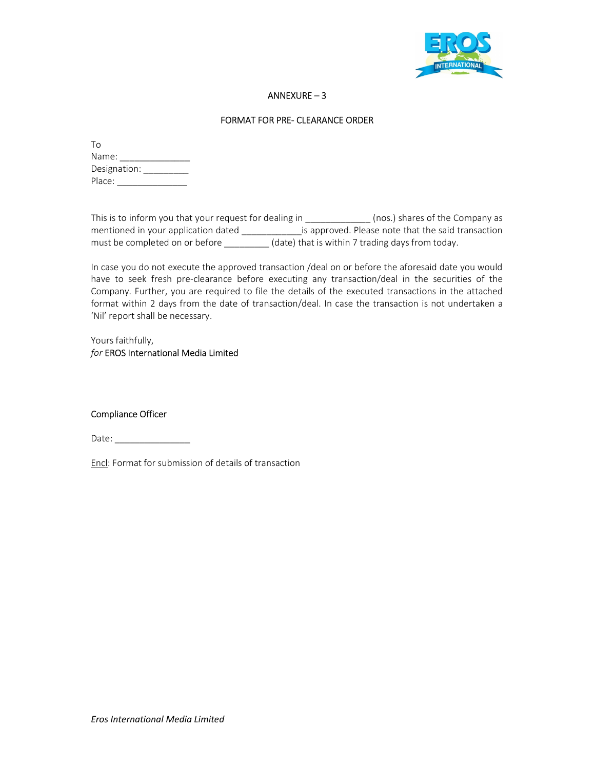

# ANNEXURE – 3

### FORMAT FOR PRE- CLEARANCE ORDER

| Tο           |  |
|--------------|--|
| Name:        |  |
| Designation: |  |
| Place:       |  |

| This is to inform you that your request for dealing in | (nos.) shares of the Company as                    |
|--------------------------------------------------------|----------------------------------------------------|
| mentioned in your application dated                    | is approved. Please note that the said transaction |
| must be completed on or before                         | (date) that is within 7 trading days from today.   |

In case you do not execute the approved transaction /deal on or before the aforesaid date you would have to seek fresh pre-clearance before executing any transaction/deal in the securities of the Company. Further, you are required to file the details of the executed transactions in the attached format within 2 days from the date of transaction/deal. In case the transaction is not undertaken a 'Nil' report shall be necessary.

Yours faithfully, for EROS International Media Limited

#### Compliance Officer

Date: \_\_\_\_\_\_\_\_\_\_\_\_\_\_\_

Encl: Format for submission of details of transaction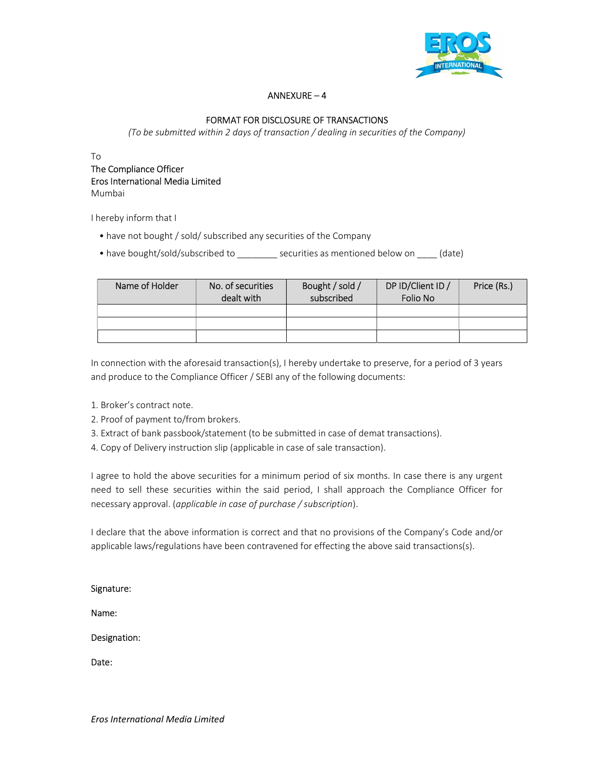

# ANNEXURE – 4

# FORMAT FOR DISCLOSURE OF TRANSACTIONS

(To be submitted within 2 days of transaction / dealing in securities of the Company)

To

## The Compliance Officer Eros International Media Limited Mumbai

I hereby inform that I

• have not bought / sold/ subscribed any securities of the Company

• have bought/sold/subscribed to \_\_\_\_\_\_\_\_ securities as mentioned below on \_\_\_\_ (date)

| Name of Holder | No. of securities<br>dealt with | Bought / sold /<br>subscribed | DP ID/Client ID /<br>Folio No | Price (Rs.) |
|----------------|---------------------------------|-------------------------------|-------------------------------|-------------|
|                |                                 |                               |                               |             |
|                |                                 |                               |                               |             |
|                |                                 |                               |                               |             |

In connection with the aforesaid transaction(s), I hereby undertake to preserve, for a period of 3 years and produce to the Compliance Officer / SEBI any of the following documents:

- 1. Broker's contract note.
- 2. Proof of payment to/from brokers.
- 3. Extract of bank passbook/statement (to be submitted in case of demat transactions).
- 4. Copy of Delivery instruction slip (applicable in case of sale transaction).

I agree to hold the above securities for a minimum period of six months. In case there is any urgent need to sell these securities within the said period, I shall approach the Compliance Officer for necessary approval. (applicable in case of purchase / subscription).

I declare that the above information is correct and that no provisions of the Company's Code and/or applicable laws/regulations have been contravened for effecting the above said transactions(s).

Signature:

Name:

Designation:

Date: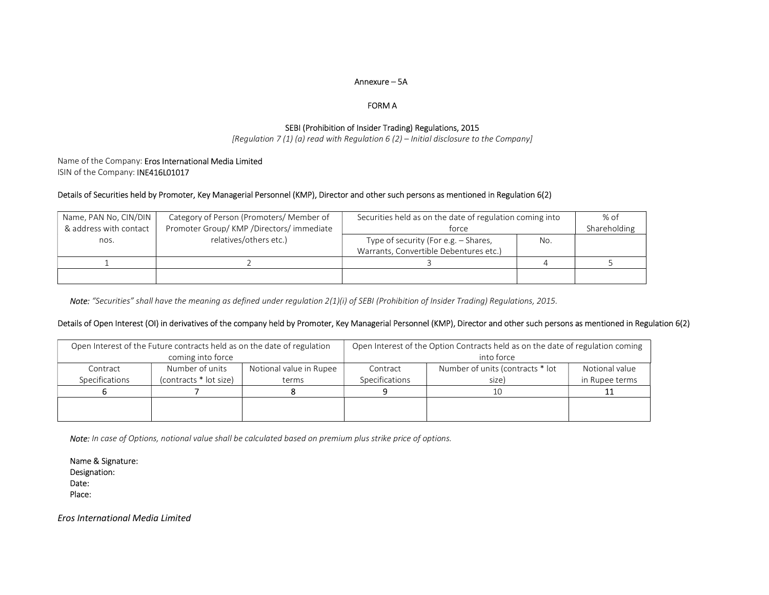#### Annexure – 5A

#### FORM A

# SEBI (Prohibition of Insider Trading) Regulations, 2015

[Regulation 7 (1) (a) read with Regulation 6 (2) – Initial disclosure to the Company]

#### Name of the Company: Eros International Media Limited ISIN of the Company: INE416L01017

#### Details of Securities held by Promoter, Key Managerial Personnel (KMP), Director and other such persons as mentioned in Regulation 6(2)

| Name, PAN No, CIN/DIN  | Category of Person (Promoters/ Member of   | Securities held as on the date of regulation coming into                       | % of |              |
|------------------------|--------------------------------------------|--------------------------------------------------------------------------------|------|--------------|
| & address with contact | Promoter Group/ KMP / Directors/ immediate | force                                                                          |      | Shareholding |
| nos.                   | relatives/others etc.)                     | Type of security (For e.g. – Shares,<br>Warrants, Convertible Debentures etc.) | No.  |              |
|                        |                                            |                                                                                |      |              |
|                        |                                            |                                                                                |      |              |

Note: "Securities" shall have the meaning as defined under regulation 2(1)(i) of SEBI (Prohibition of Insider Trading) Regulations, 2015.

#### Details of Open Interest (OI) in derivatives of the company held by Promoter, Key Managerial Personnel (KMP), Director and other such persons as mentioned in Regulation 6(2)

|                | Open Interest of the Future contracts held as on the date of regulation |                         | Open Interest of the Option Contracts held as on the date of regulation coming |                                  |                |  |  |
|----------------|-------------------------------------------------------------------------|-------------------------|--------------------------------------------------------------------------------|----------------------------------|----------------|--|--|
|                | coming into force                                                       |                         |                                                                                | into force                       |                |  |  |
| Contract       | Number of units                                                         | Notional value in Rupee | Contract                                                                       | Number of units (contracts * lot | Notional value |  |  |
| Specifications | (contracts * lot size)                                                  | terms                   | Specifications                                                                 | size)                            | in Rupee terms |  |  |
|                |                                                                         |                         |                                                                                | 10                               |                |  |  |
|                |                                                                         |                         |                                                                                |                                  |                |  |  |
|                |                                                                         |                         |                                                                                |                                  |                |  |  |

Note: In case of Options, notional value shall be calculated based on premium plus strike price of options.

Name & Signature: Designation: Date: Place: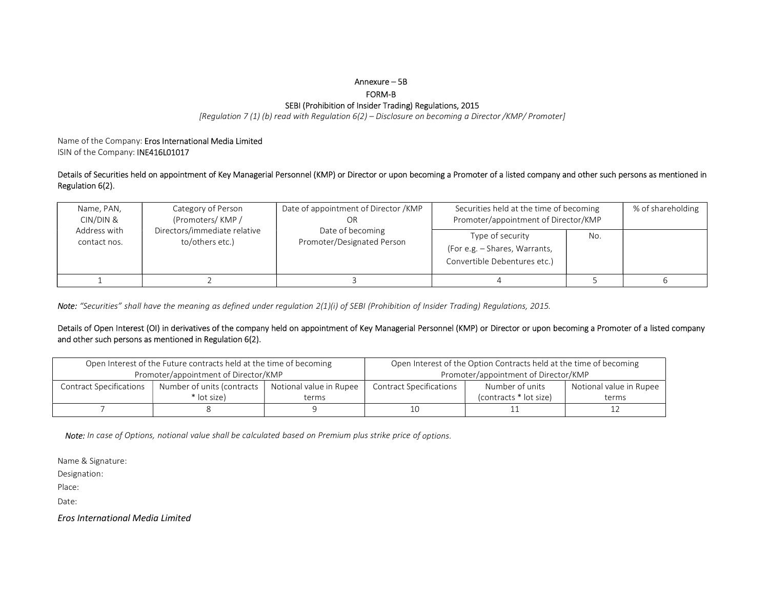#### Annexure – 5B

FORM-B

#### SEBI (Prohibition of Insider Trading) Regulations, 2015

[Regulation 7 (1) (b) read with Regulation 6(2) – Disclosure on becoming a Director /KMP/ Promoter]

Name of the Company: Eros International Media Limited ISIN of the Company: INE416L01017

Details of Securities held on appointment of Key Managerial Personnel (KMP) or Director or upon becoming a Promoter of a listed company and other such persons as mentioned in Regulation 6(2).

| Name, PAN,<br>CIN/DIN &      | Category of Person<br>(Promoters/KMP/           | Date of appointment of Director / KMP<br>OR    | Securities held at the time of becoming<br>Promoter/appointment of Director/KMP   | % of shareholding |  |
|------------------------------|-------------------------------------------------|------------------------------------------------|-----------------------------------------------------------------------------------|-------------------|--|
| Address with<br>contact nos. | Directors/immediate relative<br>to/others etc.) | Date of becoming<br>Promoter/Designated Person | Type of security<br>(For e.g. - Shares, Warrants,<br>Convertible Debentures etc.) | No.               |  |
|                              |                                                 |                                                |                                                                                   |                   |  |

Note: "Securities" shall have the meaning as defined under regulation 2(1)(i) of SEBI (Prohibition of Insider Trading) Regulations, 2015.

#### Details of Open Interest (OI) in derivatives of the company held on appointment of Key Managerial Personnel (KMP) or Director or upon becoming a Promoter of a listed company and other such persons as mentioned in Regulation 6(2).

|                                | Open Interest of the Future contracts held at the time of becoming |                         | Open Interest of the Option Contracts held at the time of becoming |                        |                         |  |
|--------------------------------|--------------------------------------------------------------------|-------------------------|--------------------------------------------------------------------|------------------------|-------------------------|--|
|                                | Promoter/appointment of Director/KMP                               |                         | Promoter/appointment of Director/KMP                               |                        |                         |  |
| <b>Contract Specifications</b> | Number of units (contracts                                         | Notional value in Rupee | <b>Contract Specifications</b>                                     | Number of units        | Notional value in Rupee |  |
|                                | * lot size)                                                        | terms                   |                                                                    | (contracts * lot size) | terms                   |  |
|                                |                                                                    |                         | 10                                                                 |                        |                         |  |

Note: In case of Options, notional value shall be calculated based on Premium plus strike price of options.

Name & Signature:

Designation:

Place:

Date: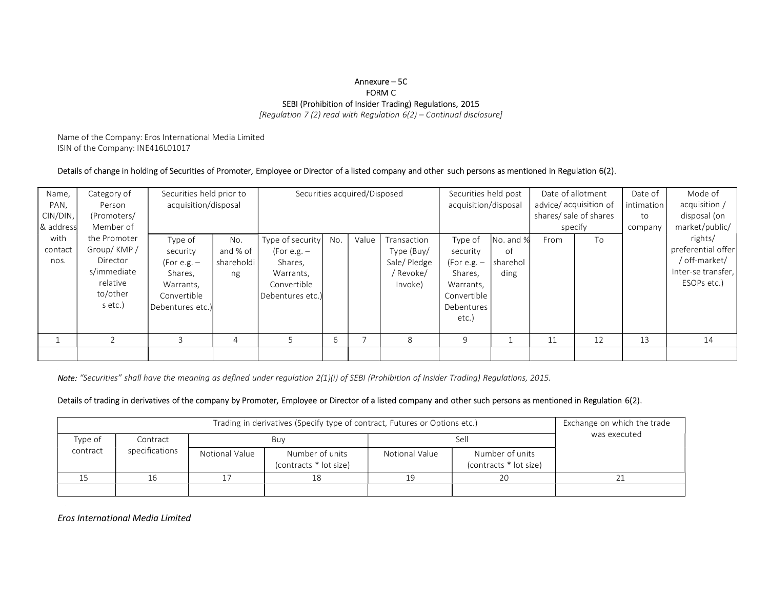#### Annexure – 5C FORM C SEBI (Prohibition of Insider Trading) Regulations, 2015

[Regulation 7 (2) read with Regulation  $6(2)$  – Continual disclosure]

Name of the Company: Eros International Media Limited ISIN of the Company: INE416L01017

#### Details of change in holding of Securities of Promoter, Employee or Director of a listed company and other such persons as mentioned in Regulation 6(2).

| Name,     | Category of  | Securities held prior to |              |                  |     | Securities acquired/Disposed |             | Securities held post |           | Date of allotment      |    | Date of    | Mode of            |
|-----------|--------------|--------------------------|--------------|------------------|-----|------------------------------|-------------|----------------------|-----------|------------------------|----|------------|--------------------|
| PAN,      | Person       | acquisition/disposal     |              |                  |     |                              |             | acquisition/disposal |           | advice/ acquisition of |    | intimation | acquisition /      |
| CIN/DIN,  | (Promoters/  |                          |              |                  |     |                              |             |                      |           | shares/ sale of shares |    | to         | disposal (on       |
| 8 address | Member of    |                          |              |                  |     |                              |             |                      |           | specify                |    | company    | market/public/     |
| with      | the Promoter | Type of                  | No.          | Type of security | No. | Value                        | Transaction | Type of              | No. and % | From                   | To |            | rights/            |
| contact   | Group/KMP/   | security                 | and % of     | (For e.g. $-$    |     |                              | Type (Buy/  | security             | of        |                        |    |            | preferential offer |
| nos.      | Director     | (For e.g. $-$            | shareholdi l | Shares,          |     |                              | Sale/Pledge | (For e.g. –          | sharehol  |                        |    |            | / off-market/      |
|           | s/immediate  | Shares,                  | ng           | Warrants,        |     |                              | / Revoke/   | Shares,              | ding      |                        |    |            | Inter-se transfer, |
|           | relative     | Warrants,                |              | Convertible      |     |                              | Invoke)     | Warrants,            |           |                        |    |            | ESOPs etc.)        |
|           | to/other     | Convertible              |              | Debentures etc.) |     |                              |             | Convertible          |           |                        |    |            |                    |
|           | s etc.)      | Debentures etc.)         |              |                  |     |                              |             | Debentures           |           |                        |    |            |                    |
|           |              |                          |              |                  |     |                              |             | etc.                 |           |                        |    |            |                    |
|           |              |                          |              |                  |     |                              |             |                      |           |                        |    |            |                    |
|           |              |                          | 4            |                  | b   |                              | 8           | 9                    |           | 11                     | 12 | 13         | 14                 |
|           |              |                          |              |                  |     |                              |             |                      |           |                        |    |            |                    |

Note: "Securities" shall have the meaning as defined under regulation 2(1)(i) of SEBI (Prohibition of Insider Trading) Regulations, 2015.

#### Details of trading in derivatives of the company by Promoter, Employee or Director of a listed company and other such persons as mentioned in Regulation 6(2).

|          |                | Exchange on which the trade |                                           |                |                                           |              |  |
|----------|----------------|-----------------------------|-------------------------------------------|----------------|-------------------------------------------|--------------|--|
| Type of  | Contract       |                             | Buy                                       |                | Sel                                       | was executed |  |
| contract | specifications | Notional Value              | Number of units<br>(contracts * lot size) | Notional Value | Number of units<br>(contracts * lot size) |              |  |
|          |                |                             | 18                                        |                | 20                                        |              |  |
|          |                |                             |                                           |                |                                           |              |  |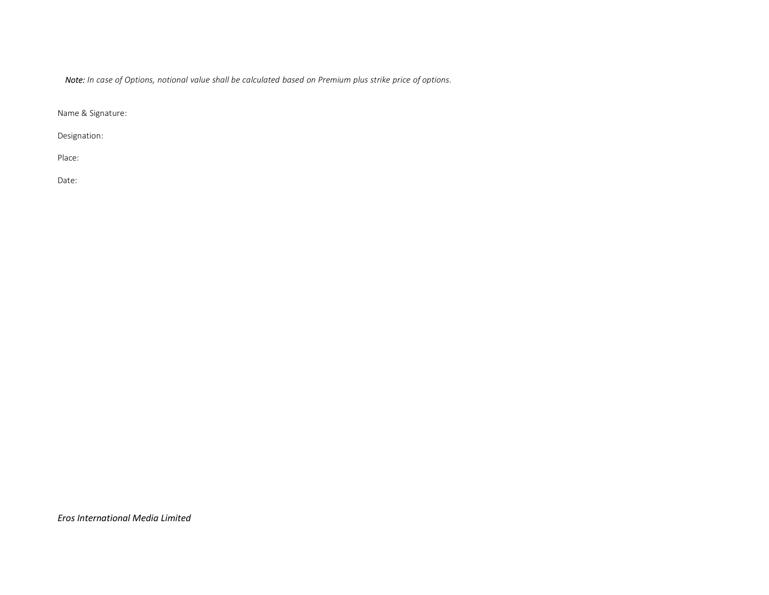Note: In case of Options, notional value shall be calculated based on Premium plus strike price of options.

Name & Signature:

Designation:

Place:

Date: